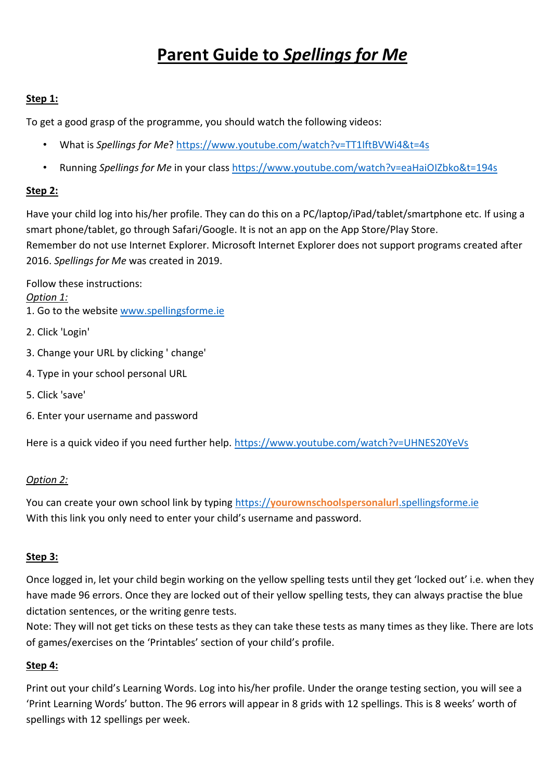# **Parent Guide to** *Spellings for Me*

#### **Step 1:**

To get a good grasp of the programme, you should watch the following videos:

- What is *Spellings for Me*?<https://www.youtube.com/watch?v=TT1IftBVWi4&t=4s>
- Running *Spellings for Me* in your class<https://www.youtube.com/watch?v=eaHaiOIZbko&t=194s>

#### **Step 2:**

Have your child log into his/her profile. They can do this on a PC/laptop/iPad/tablet/smartphone etc. If using a smart phone/tablet, go through Safari/Google. It is not an app on the App Store/Play Store. Remember do not use Internet Explorer. Microsoft Internet Explorer does not support programs created after 2016. *Spellings for Me* was created in 2019.

Follow these instructions:

#### *Option 1:*

- 1. Go to the website [www.spellingsforme.ie](http://www.spellingsforme.ie/)
- 2. Click 'Login'
- 3. Change your URL by clicking ' change'
- 4. Type in your school personal URL
- 5. Click 'save'
- 6. Enter your username and password

Here is a quick video if you need further help. <https://www.youtube.com/watch?v=UHNES20YeVs>

#### *Option 2:*

You can create your own school link by typing https://**[yourownschoolspersonalurl](https://yourownschoolspersonalurl.spellingsforme.ie/)**.spellingsforme.ie With this link you only need to enter your child's username and password.

#### **Step 3:**

Once logged in, let your child begin working on the yellow spelling tests until they get 'locked out' i.e. when they have made 96 errors. Once they are locked out of their yellow spelling tests, they can always practise the blue dictation sentences, or the writing genre tests.

Note: They will not get ticks on these tests as they can take these tests as many times as they like. There are lots of games/exercises on the 'Printables' section of your child's profile.

#### **Step 4:**

Print out your child's Learning Words. Log into his/her profile. Under the orange testing section, you will see a 'Print Learning Words' button. The 96 errors will appear in 8 grids with 12 spellings. This is 8 weeks' worth of spellings with 12 spellings per week.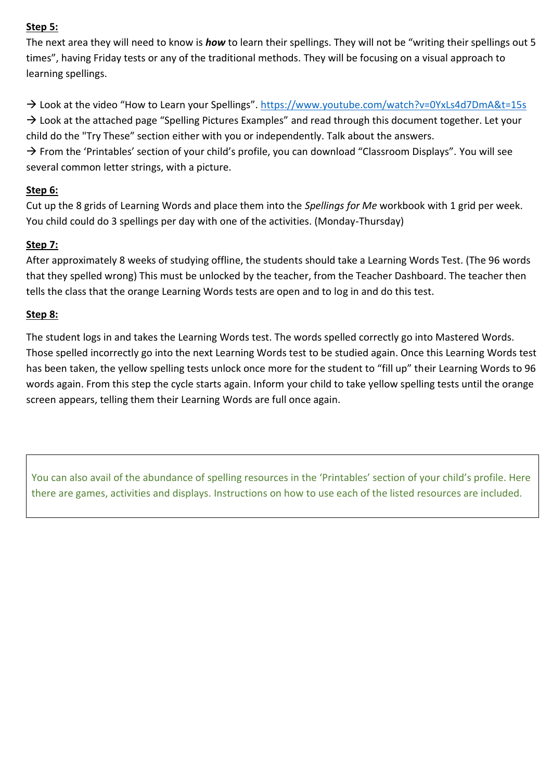#### **Step 5:**

The next area they will need to know is *how* to learn their spellings. They will not be "writing their spellings out 5 times", having Friday tests or any of the traditional methods. They will be focusing on a visual approach to learning spellings.

→ Look at the video "How to Learn your Spellings". <https://www.youtube.com/watch?v=0YxLs4d7DmA&t=15s>

 $\rightarrow$  Look at the attached page "Spelling Pictures Examples" and read through this document together. Let your child do the "Try These" section either with you or independently. Talk about the answers.

 $\rightarrow$  From the 'Printables' section of your child's profile, you can download "Classroom Displays". You will see several common letter strings, with a picture.

## **Step 6:**

Cut up the 8 grids of Learning Words and place them into the *Spellings for Me* workbook with 1 grid per week. You child could do 3 spellings per day with one of the activities. (Monday-Thursday)

## **Step 7:**

After approximately 8 weeks of studying offline, the students should take a Learning Words Test. (The 96 words that they spelled wrong) This must be unlocked by the teacher, from the Teacher Dashboard. The teacher then tells the class that the orange Learning Words tests are open and to log in and do this test.

## **Step 8:**

The student logs in and takes the Learning Words test. The words spelled correctly go into Mastered Words. Those spelled incorrectly go into the next Learning Words test to be studied again. Once this Learning Words test has been taken, the yellow spelling tests unlock once more for the student to "fill up" their Learning Words to 96 words again. From this step the cycle starts again. Inform your child to take yellow spelling tests until the orange screen appears, telling them their Learning Words are full once again.

You can also avail of the abundance of spelling resources in the 'Printables' section of your child's profile. Here there are games, activities and displays. Instructions on how to use each of the listed resources are included.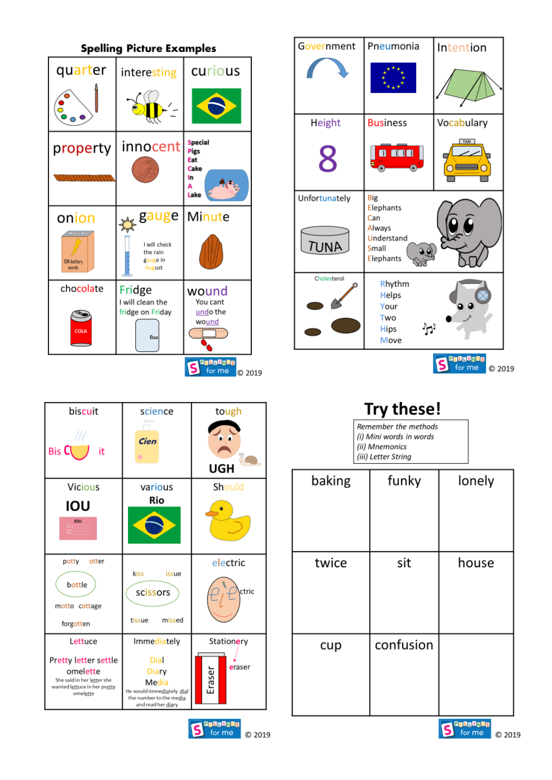|                                      | <b>Spelling Picture Examples</b>                                           |                                                                 |  |  |  |  |  |  |  |  |
|--------------------------------------|----------------------------------------------------------------------------|-----------------------------------------------------------------|--|--|--|--|--|--|--|--|
| quarter                              | interesting                                                                | curious                                                         |  |  |  |  |  |  |  |  |
|                                      |                                                                            |                                                                 |  |  |  |  |  |  |  |  |
| property                             | innocent                                                                   | <b>Special</b><br><b>Pigs</b><br>Eat<br>Cake<br>In<br>A<br>Lake |  |  |  |  |  |  |  |  |
| onion<br><b>ION</b> battery<br>words | gauge<br>I will check<br>the rain<br>gauge in<br>August                    | Minute                                                          |  |  |  |  |  |  |  |  |
| chocolate<br>COLA                    | Fridge<br>I will clean the<br>fridge on Friday<br>$\overline{\phantom{a}}$ | wound<br>You cant<br>undo the<br>wound                          |  |  |  |  |  |  |  |  |
|                                      |                                                                            | <b>BelgOnGs</b><br>for me<br>C 2019                             |  |  |  |  |  |  |  |  |

| Government                   | Pneumonia                                                                    | Intention                           |
|------------------------------|------------------------------------------------------------------------------|-------------------------------------|
|                              |                                                                              |                                     |
| <b>Height</b>                | <b>Business</b>                                                              | Vocabulary                          |
| 8                            | 000<br>O                                                                     | TAXI                                |
| Unfortunately<br><b>TUNA</b> | <b>Big</b><br>Elephants<br>Can<br>Always<br>Understand<br>Small<br>Elephants |                                     |
| Cholesterol                  | Rhythm<br><b>Helps</b><br>Your<br>Two<br><b>Hips</b><br>Move                 |                                     |
|                              |                                                                              | <b>Belglads</b><br>for me<br>C 2019 |

| biscuit<br>111<br>Bis C<br>it                                                                                         | science<br>Cien<br>۰                                                                                                       | tough<br>UGH                   |
|-----------------------------------------------------------------------------------------------------------------------|----------------------------------------------------------------------------------------------------------------------------|--------------------------------|
| <b>Vicious</b><br>ιου<br><b>IOU</b>                                                                                   | various<br>Rio                                                                                                             | Should                         |
| potty<br>otter<br>bottle<br>motto cottage<br>forgotten                                                                | kiss<br>issue<br>scissors<br>missed<br>tissue                                                                              | electric<br>ctric              |
| Lettuce<br>Pretty letter settle<br>omelette<br>She said in her letter she<br>wanted lettuce in her pretty<br>omelette | Immediately<br>Dial<br><b>Diary</b><br>Media<br>He would immediately dial<br>the number to the media<br>and read her diary | Stationery<br>eraser<br>Eraser |
|                                                                                                                       |                                                                                                                            | a On On Ga<br>for me<br>C 2019 |

| Try these!                                                                               |  |
|------------------------------------------------------------------------------------------|--|
| Remember the methods<br>(i) Mini words in words<br>(ii) Mnemonics<br>(iii) Letter String |  |

| baking | funky     | lonely            |
|--------|-----------|-------------------|
| twice  | sit       | house             |
| cup    | confusion |                   |
|        |           | <b>Belloflage</b> |

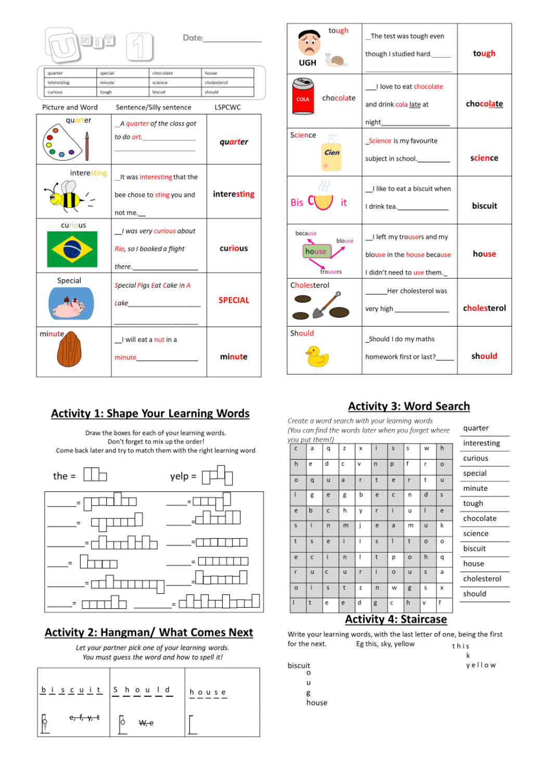| Mr               |         |                       |                                                                                                                                                                                                                                                                   | Date:          |
|------------------|---------|-----------------------|-------------------------------------------------------------------------------------------------------------------------------------------------------------------------------------------------------------------------------------------------------------------|----------------|
| quarter          | special |                       | chocolate                                                                                                                                                                                                                                                         | house          |
| interesting      | minute  |                       | science                                                                                                                                                                                                                                                           | cholesterol    |
| curious          | tough   |                       | biscuit                                                                                                                                                                                                                                                           | should         |
| Picture and Word |         |                       | Sentence/Silly sentence                                                                                                                                                                                                                                           | LSPCWC         |
| quarter          |         |                       | A quarter of the class got                                                                                                                                                                                                                                        | quarter        |
| interesting      |         | not me.__             | It was interesting that the<br>bee chose to sting you and                                                                                                                                                                                                         | interesting    |
| curious          |         |                       | I was very curious about<br>Rio, so I booked a flight                                                                                                                                                                                                             | curious        |
| Special          |         |                       | Special Pigs Eat Cake In A<br>Lake <b>Lake</b> the contract of the contract of the contract of the contract of the contract of the contract of the contract of the contract of the contract of the contract of the contract of the contract of the contract of th | <b>SPECIAL</b> |
| minute,          |         | I will eat a nut in a | minute the contract of the contract of the contract of the contract of the contract of the contract of the contract of the contract of the contract of the contract of the contract of the contract of the contract of the con                                    | minute         |

#### **Activity 1: Shape Your Learning Words**

Draw the boxes for each of your learning words. Don't forget to mix up the order! Come back later and try to match them with the right learning word



#### **Activity 2: Hangman/ What Comes Next**

Let your partner pick one of your learning words. You must guess the word and how to spell it!

| $b$ is cuit Should     |      | house |
|------------------------|------|-------|
| e <del>, f, y, t</del> | ₩, е |       |

| tough<br>X (o<br>UGH                   | The test was tough even<br>though I studied hard.                                      | tough       |
|----------------------------------------|----------------------------------------------------------------------------------------|-------------|
| ∾<br>chocolate<br><b>COLA</b>          | I love to eat chocolate<br>and drink cola late at<br>night________________________     | chocolate   |
| Science<br>Cien                        | Science is my favourite<br>subject in school.                                          | science     |
| <sub>Bis</sub> C<br>it                 | I like to eat a biscuit when<br>  drink tea.________________                           | biscuit     |
| because<br>blouse<br>house<br>trousers | I left my trousers and my<br>blouse in the house because<br>I didn't need to use them. | house       |
| Cholesterol                            | Her cholesterol was                                                                    | cholesterol |
| Should                                 | _Should I do my maths<br>homework first or last?                                       | should      |

# **Activity 3: Word Search**

Create a word search with your learning words (You can find the words later when you forget where you put them!)

| roa put triciniț<br>$\mathsf{C}$ | a            | q                       | z            | x            | $\mathbf{i}$            | s       | s            | w            | h            |
|----------------------------------|--------------|-------------------------|--------------|--------------|-------------------------|---------|--------------|--------------|--------------|
| h                                | e            | d                       | с            | ٨            | n                       | p       | f            | ٢            | $\circ$      |
| $\circ$                          | q            | ü                       | a            | $\mathsf{r}$ | $\mathsf{t}$            | e       | r            | t            | ū            |
| $\mathbf{I}$                     | g            | e                       | g            | b            | e                       | c       | n            | d            | $\mathsf{s}$ |
| e                                | b            | $\mathsf{C}$            | h            | ٧            | r                       | ĭ       | u            | ł            | e            |
| $\mathsf{s}$                     | ī            | n                       | m            | j            | e                       | ä       | m            | $\mathbf{u}$ | k            |
| $\mathbf t$                      | $\mathsf{s}$ | e                       | $\mathbf{i}$ | i            | $\overline{\mathsf{s}}$ | T       | ť            | $\circ$      | о            |
| e                                | $\mathsf{c}$ | T.                      | $\mathsf{n}$ | I            | t                       | р       | $\circ$      | h            | q            |
| r                                | u            | $\mathsf{C}$            | u            | $\mathsf{r}$ | ï                       | $\circ$ | u            | $\mathsf{s}$ | a            |
| $\circ$                          | T            | $\overline{\mathsf{s}}$ | t            | z            | $\overline{ }$          | w       | g            | s            | x            |
| $\mathbf{I}$                     | t            | e                       | e            | d            | g                       | c       | $\mathsf{h}$ | v            | f            |

| quarter     |
|-------------|
| interesting |
| curious     |
| special     |
| minute      |
| tough       |
| chocolate   |
| science     |
| biscuit     |
| house       |
| cholesterol |
| should      |
|             |

#### **Activity 4: Staircase**

Write your learning words, with the last letter of one, being the first for the next. Eg this, sky, yellow this

biscuit

- $\dddot{\circ}$
- $\mathsf{u}$
- g

house

 $\mathsf k$ 

yellow